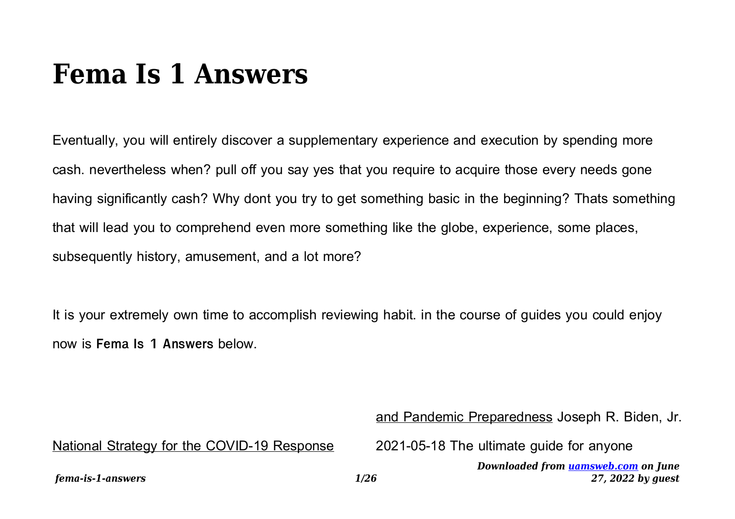## **Fema Is 1 Answers**

Eventually, you will entirely discover a supplementary experience and execution by spending more cash. nevertheless when? pull off you say yes that you require to acquire those every needs gone having significantly cash? Why dont you try to get something basic in the beginning? Thats something that will lead you to comprehend even more something like the globe, experience, some places, subsequently history, amusement, and a lot more?

It is your extremely own time to accomplish reviewing habit. in the course of guides you could enjoy now is **Fema Is 1 Answers** below.

and Pandemic Preparedness Joseph R. Biden, Jr.

National Strategy for the COVID-19 Response

2021-05-18 The ultimate guide for anyone

*Downloaded from [uamsweb.com](http://uamsweb.com) on June 27, 2022 by guest*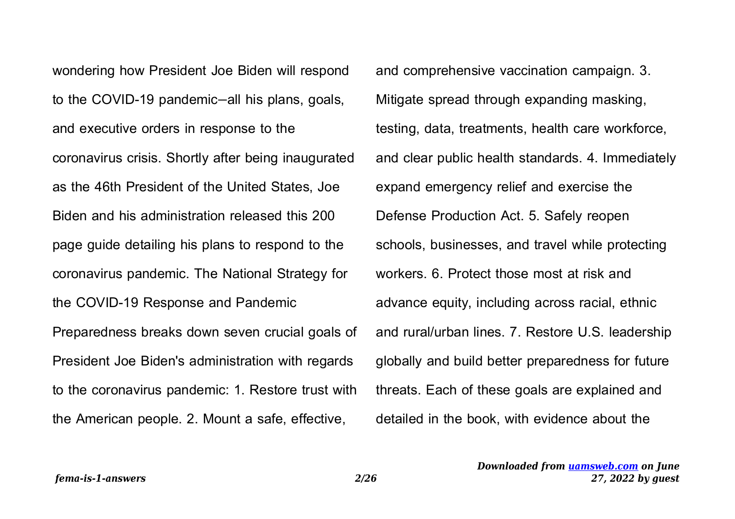wondering how President Joe Biden will respond to the COVID-19 pandemic—all his plans, goals, and executive orders in response to the coronavirus crisis. Shortly after being inaugurated as the 46th President of the United States, Joe Biden and his administration released this 200 page guide detailing his plans to respond to the coronavirus pandemic. The National Strategy for the COVID-19 Response and Pandemic Preparedness breaks down seven crucial goals of President Joe Biden's administration with regards to the coronavirus pandemic: 1. Restore trust with the American people. 2. Mount a safe, effective,

and comprehensive vaccination campaign. 3. Mitigate spread through expanding masking, testing, data, treatments, health care workforce, and clear public health standards. 4. Immediately expand emergency relief and exercise the Defense Production Act. 5. Safely reopen schools, businesses, and travel while protecting workers. 6. Protect those most at risk and advance equity, including across racial, ethnic and rural/urban lines. 7. Restore U.S. leadership globally and build better preparedness for future threats. Each of these goals are explained and detailed in the book, with evidence about the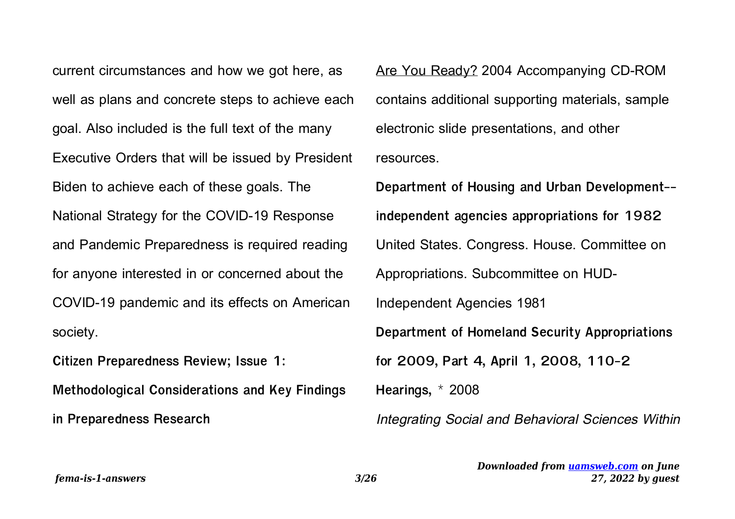current circumstances and how we got here, as well as plans and concrete steps to achieve each goal. Also included is the full text of the many Executive Orders that will be issued by President Biden to achieve each of these goals. The National Strategy for the COVID-19 Response and Pandemic Preparedness is required reading for anyone interested in or concerned about the COVID-19 pandemic and its effects on American society.

**Citizen Preparedness Review; Issue 1: Methodological Considerations and Key Findings in Preparedness Research**

Are You Ready? 2004 Accompanying CD-ROM contains additional supporting materials, sample electronic slide presentations, and other resources.

**Department of Housing and Urban Development- independent agencies appropriations for 1982** United States. Congress. House. Committee on Appropriations. Subcommittee on HUD-Independent Agencies 1981 **Department of Homeland Security Appropriations for 2009, Part 4, April 1, 2008, 110-2 Hearings, \*** 2008 Integrating Social and Behavioral Sciences Within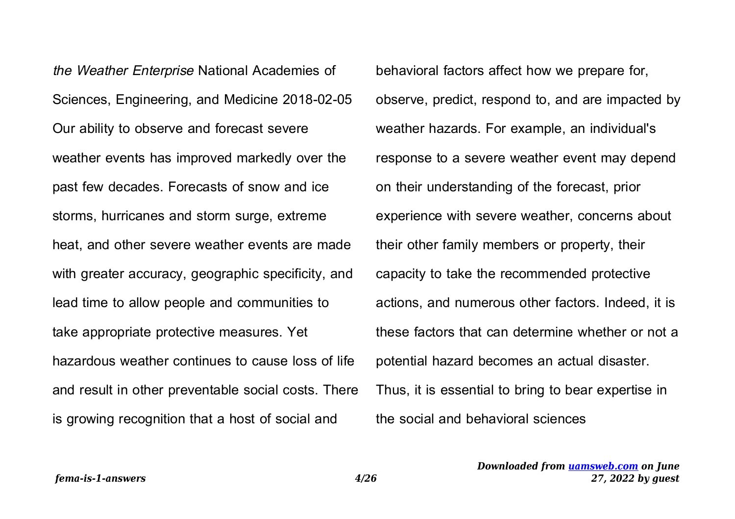the Weather Enterprise National Academies of Sciences, Engineering, and Medicine 2018-02-05 Our ability to observe and forecast severe weather events has improved markedly over the past few decades. Forecasts of snow and ice storms, hurricanes and storm surge, extreme heat, and other severe weather events are made with greater accuracy, geographic specificity, and lead time to allow people and communities to take appropriate protective measures. Yet hazardous weather continues to cause loss of life and result in other preventable social costs. There is growing recognition that a host of social and

behavioral factors affect how we prepare for, observe, predict, respond to, and are impacted by weather hazards. For example, an individual's response to a severe weather event may depend on their understanding of the forecast, prior experience with severe weather, concerns about their other family members or property, their capacity to take the recommended protective actions, and numerous other factors. Indeed, it is these factors that can determine whether or not a potential hazard becomes an actual disaster. Thus, it is essential to bring to bear expertise in the social and behavioral sciences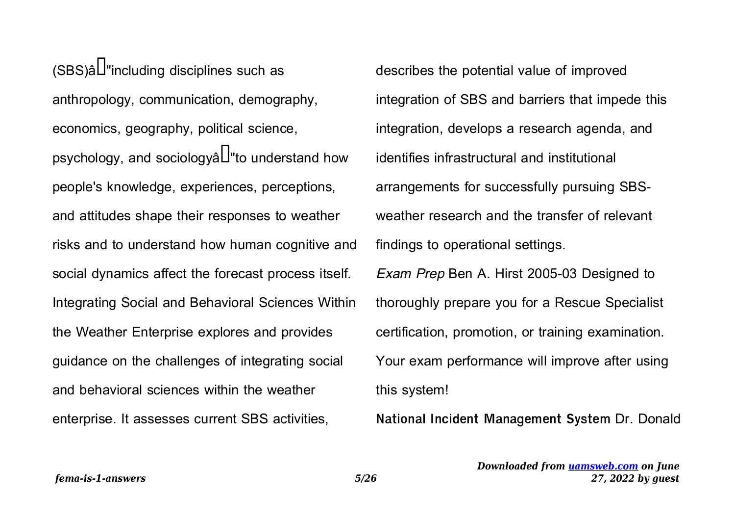$(SBS)$ â $\Box$ "including disciplines such as anthropology, communication, demography, economics, geography, political science, psychology, and sociology $\hat{a}$ "to understand how people's knowledge, experiences, perceptions, and attitudes shape their responses to weather risks and to understand how human cognitive and social dynamics affect the forecast process itself. Integrating Social and Behavioral Sciences Within the Weather Enterprise explores and provides guidance on the challenges of integrating social and behavioral sciences within the weather enterprise. It assesses current SBS activities,

describes the potential value of improved integration of SBS and barriers that impede this integration, develops a research agenda, and identifies infrastructural and institutional arrangements for successfully pursuing SBSweather research and the transfer of relevant findings to operational settings. Exam Prep Ben A. Hirst 2005-03 Designed to

thoroughly prepare you for a Rescue Specialist certification, promotion, or training examination. Your exam performance will improve after using this system!

**National Incident Management System** Dr. Donald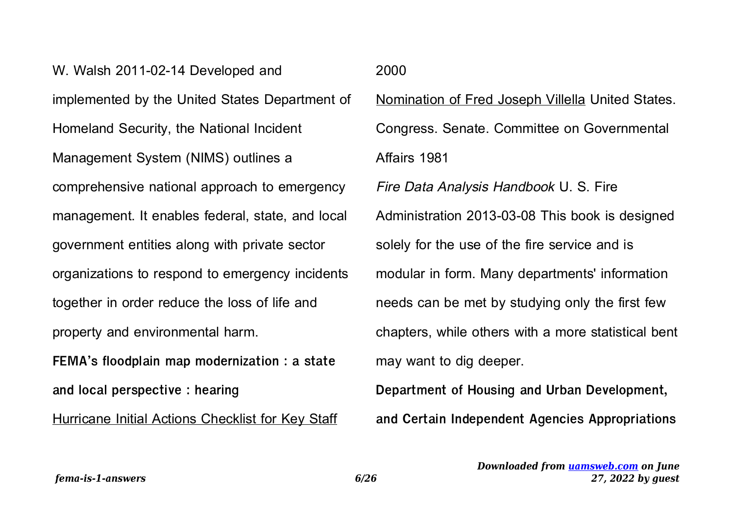W. Walsh 2011-02-14 Developed and implemented by the United States Department of Homeland Security, the National Incident Management System (NIMS) outlines a comprehensive national approach to emergency management. It enables federal, state, and local government entities along with private sector organizations to respond to emergency incidents together in order reduce the loss of life and property and environmental harm. **FEMA's floodplain map modernization : a state and local perspective : hearing**

Hurricane Initial Actions Checklist for Key Staff

2000

Nomination of Fred Joseph Villella United States. Congress. Senate. Committee on Governmental Affairs 1981

Fire Data Analysis Handbook U. S. Fire Administration 2013-03-08 This book is designed solely for the use of the fire service and is modular in form. Many departments' information needs can be met by studying only the first few chapters, while others with a more statistical bent may want to dig deeper.

**Department of Housing and Urban Development, and Certain Independent Agencies Appropriations**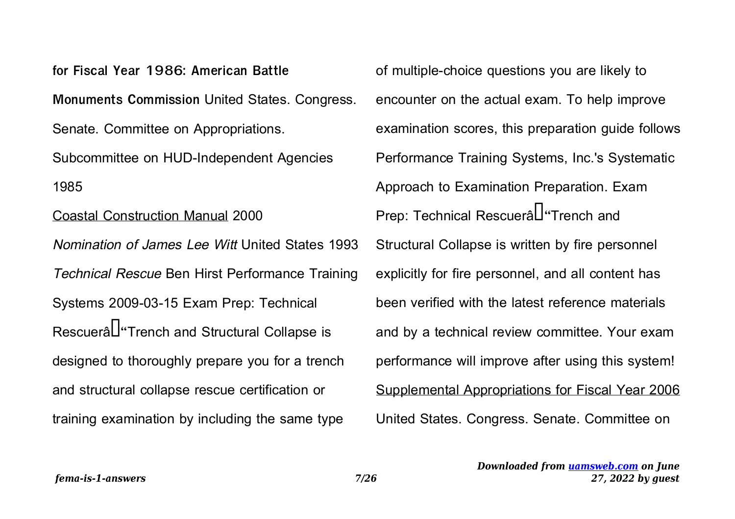**for Fiscal Year 1986: American Battle Monuments Commission** United States. Congress. Senate. Committee on Appropriations. Subcommittee on HUD-Independent Agencies 1985

Coastal Construction Manual 2000 Nomination of James Lee Witt United States 1993 Technical Rescue Ben Hirst Performance Training Systems 2009-03-15 Exam Prep: Technical RescueraL<sup>"</sup>Trench and Structural Collapse is designed to thoroughly prepare you for a trench and structural collapse rescue certification or training examination by including the same type

of multiple-choice questions you are likely to encounter on the actual exam. To help improve examination scores, this preparation guide follows Performance Training Systems, Inc.'s Systematic Approach to Examination Preparation. Exam Prep: Technical Rescuerâl<sup>u</sup>Trench and Structural Collapse is written by fire personnel explicitly for fire personnel, and all content has been verified with the latest reference materials and by a technical review committee. Your exam performance will improve after using this system! Supplemental Appropriations for Fiscal Year 2006 United States. Congress. Senate. Committee on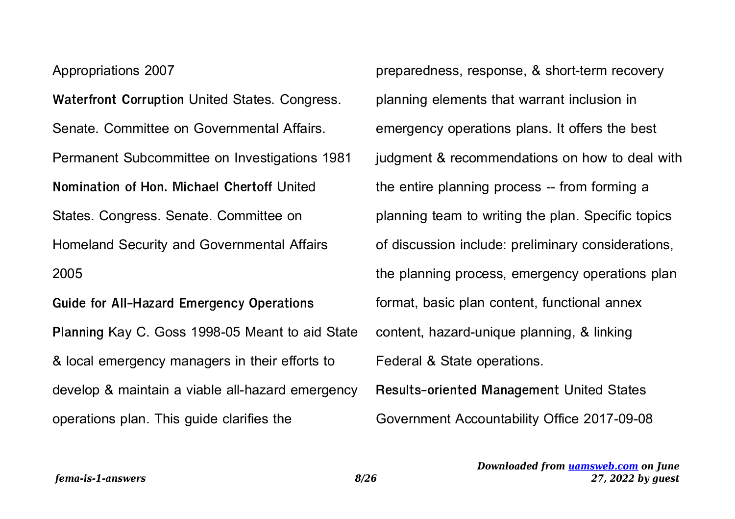Appropriations 2007

*fema-is-1-answers 8/26*

**Waterfront Corruption** United States. Congress. Senate. Committee on Governmental Affairs. Permanent Subcommittee on Investigations 1981 **Nomination of Hon. Michael Chertoff** United States. Congress. Senate. Committee on Homeland Security and Governmental Affairs 2005 **Guide for All-Hazard Emergency Operations**

**Planning** Kay C. Goss 1998-05 Meant to aid State & local emergency managers in their efforts to develop & maintain a viable all-hazard emergency operations plan. This guide clarifies the

preparedness, response, & short-term recovery planning elements that warrant inclusion in emergency operations plans. It offers the best judgment & recommendations on how to deal with the entire planning process -- from forming a planning team to writing the plan. Specific topics of discussion include: preliminary considerations, the planning process, emergency operations plan format, basic plan content, functional annex content, hazard-unique planning, & linking Federal & State operations. **Results-oriented Management** United States

Government Accountability Office 2017-09-08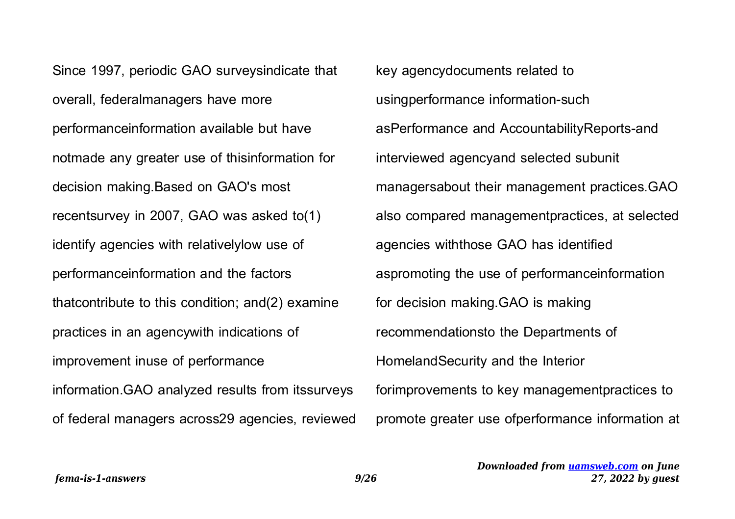Since 1997, periodic GAO surveysindicate that overall, federalmanagers have more performanceinformation available but have notmade any greater use of thisinformation for decision making.Based on GAO's most recentsurvey in 2007, GAO was asked to(1) identify agencies with relativelylow use of performanceinformation and the factors thatcontribute to this condition; and(2) examine practices in an agencywith indications of improvement inuse of performance information.GAO analyzed results from itssurveys of federal managers across29 agencies, reviewed

key agencydocuments related to usingperformance information-such asPerformance and AccountabilityReports-and interviewed agencyand selected subunit managersabout their management practices.GAO also compared managementpractices, at selected agencies withthose GAO has identified aspromoting the use of performanceinformation for decision making.GAO is making recommendationsto the Departments of HomelandSecurity and the Interior forimprovements to key managementpractices to promote greater use ofperformance information at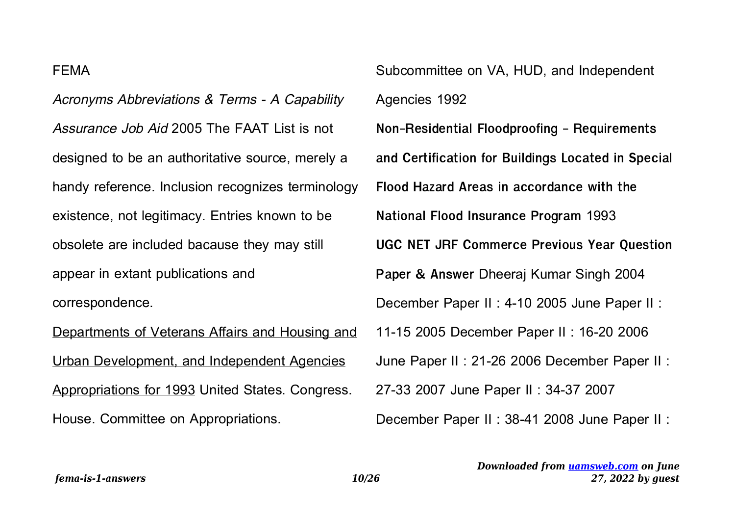## FEMA

Acronyms Abbreviations & Terms - A Capability Assurance Job Aid 2005 The FAAT List is not designed to be an authoritative source, merely a handy reference. Inclusion recognizes terminology existence, not legitimacy. Entries known to be obsolete are included bacause they may still appear in extant publications and correspondence.

Departments of Veterans Affairs and Housing and Urban Development, and Independent Agencies Appropriations for 1993 United States. Congress. House. Committee on Appropriations.

Subcommittee on VA, HUD, and Independent Agencies 1992 **Non-Residential Floodproofing - Requirements and Certification for Buildings Located in Special Flood Hazard Areas in accordance with the National Flood Insurance Program** 1993 **UGC NET JRF Commerce Previous Year Question Paper & Answer** Dheeraj Kumar Singh 2004 December Paper II : 4-10 2005 June Paper II : 11-15 2005 December Paper II : 16-20 2006 June Paper II : 21-26 2006 December Paper II : 27-33 2007 June Paper II : 34-37 2007 December Paper II : 38-41 2008 June Paper II :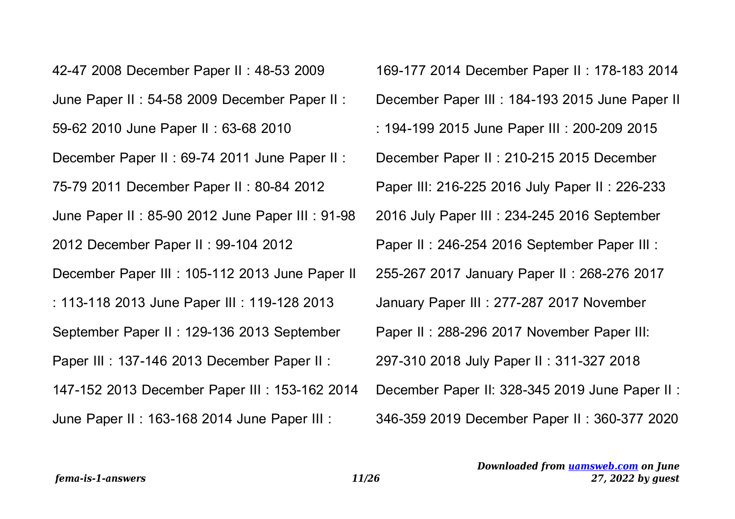42-47 2008 December Paper II : 48-53 2009 June Paper II : 54-58 2009 December Paper II : 59-62 2010 June Paper II : 63-68 2010 December Paper II : 69-74 2011 June Paper II : 75-79 2011 December Paper II : 80-84 2012 June Paper II : 85-90 2012 June Paper III : 91-98 2012 December Paper II : 99-104 2012 December Paper III : 105-112 2013 June Paper II : 113-118 2013 June Paper III : 119-128 2013 September Paper II : 129-136 2013 September Paper III : 137-146 2013 December Paper II : 147-152 2013 December Paper III : 153-162 2014 June Paper II : 163-168 2014 June Paper III :

169-177 2014 December Paper II : 178-183 2014 December Paper III : 184-193 2015 June Paper II : 194-199 2015 June Paper III : 200-209 2015 December Paper II : 210-215 2015 December Paper III: 216-225 2016 July Paper II : 226-233 2016 July Paper III : 234-245 2016 September Paper II : 246-254 2016 September Paper III : 255-267 2017 January Paper II : 268-276 2017 January Paper III : 277-287 2017 November Paper II : 288-296 2017 November Paper III: 297-310 2018 July Paper II : 311-327 2018 December Paper II: 328-345 2019 June Paper II : 346-359 2019 December Paper II : 360-377 2020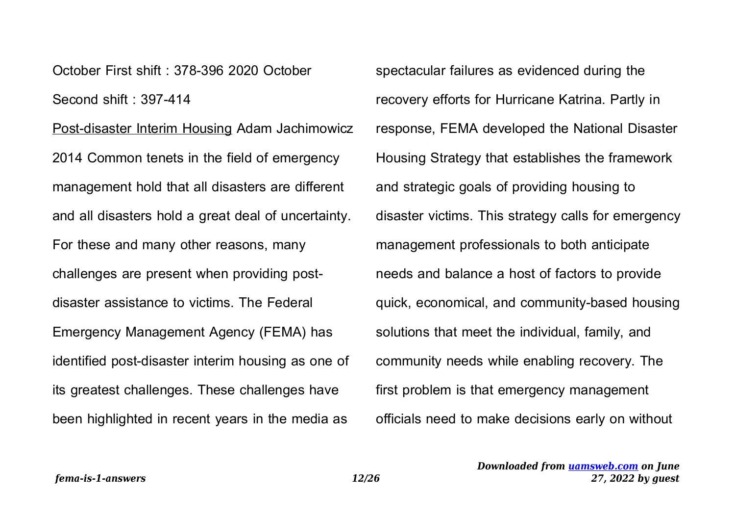October First shift : 378-396 2020 October Second shift : 397-414

Post-disaster Interim Housing Adam Jachimowicz 2014 Common tenets in the field of emergency management hold that all disasters are different and all disasters hold a great deal of uncertainty. For these and many other reasons, many challenges are present when providing postdisaster assistance to victims. The Federal Emergency Management Agency (FEMA) has identified post-disaster interim housing as one of its greatest challenges. These challenges have been highlighted in recent years in the media as

spectacular failures as evidenced during the recovery efforts for Hurricane Katrina. Partly in response, FEMA developed the National Disaster Housing Strategy that establishes the framework and strategic goals of providing housing to disaster victims. This strategy calls for emergency management professionals to both anticipate needs and balance a host of factors to provide quick, economical, and community-based housing solutions that meet the individual, family, and community needs while enabling recovery. The first problem is that emergency management officials need to make decisions early on without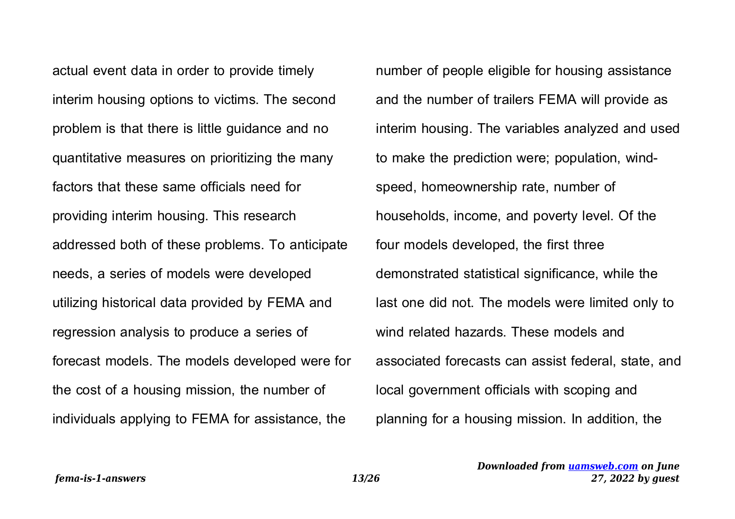actual event data in order to provide timely interim housing options to victims. The second problem is that there is little guidance and no quantitative measures on prioritizing the many factors that these same officials need for providing interim housing. This research addressed both of these problems. To anticipate needs, a series of models were developed utilizing historical data provided by FEMA and regression analysis to produce a series of forecast models. The models developed were for the cost of a housing mission, the number of individuals applying to FEMA for assistance, the

number of people eligible for housing assistance and the number of trailers FEMA will provide as interim housing. The variables analyzed and used to make the prediction were; population, windspeed, homeownership rate, number of households, income, and poverty level. Of the four models developed, the first three demonstrated statistical significance, while the last one did not. The models were limited only to wind related hazards. These models and associated forecasts can assist federal, state, and local government officials with scoping and planning for a housing mission. In addition, the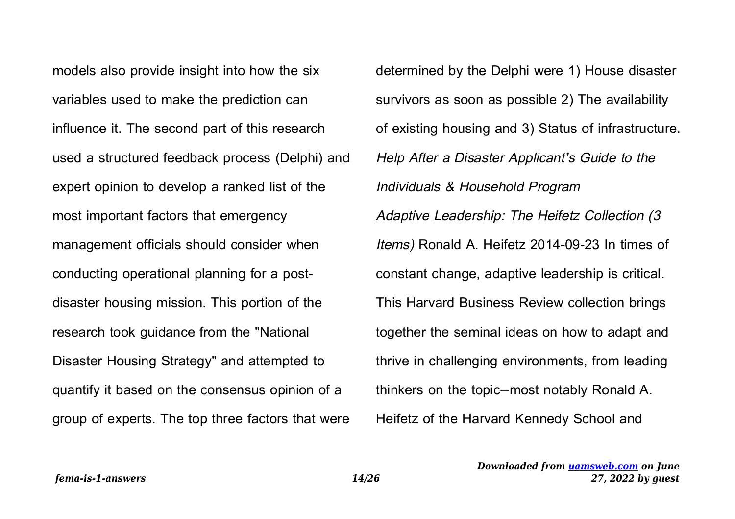models also provide insight into how the six variables used to make the prediction can influence it. The second part of this research used a structured feedback process (Delphi) and expert opinion to develop a ranked list of the most important factors that emergency management officials should consider when conducting operational planning for a postdisaster housing mission. This portion of the research took guidance from the "National Disaster Housing Strategy" and attempted to quantify it based on the consensus opinion of a group of experts. The top three factors that were determined by the Delphi were 1) House disaster survivors as soon as possible 2) The availability of existing housing and 3) Status of infrastructure. Help After a Disaster Applicant's Guide to the Individuals & Household Program Adaptive Leadership: The Heifetz Collection (3 Items) Ronald A. Heifetz 2014-09-23 In times of constant change, adaptive leadership is critical. This Harvard Business Review collection brings together the seminal ideas on how to adapt and thrive in challenging environments, from leading thinkers on the topic—most notably Ronald A. Heifetz of the Harvard Kennedy School and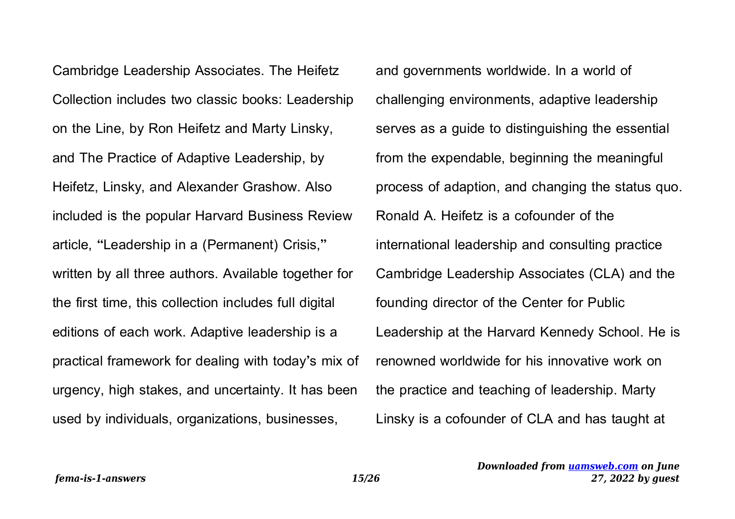Cambridge Leadership Associates. The Heifetz Collection includes two classic books: Leadership on the Line, by Ron Heifetz and Marty Linsky, and The Practice of Adaptive Leadership, by Heifetz, Linsky, and Alexander Grashow. Also included is the popular Harvard Business Review article, "Leadership in a (Permanent) Crisis," written by all three authors. Available together for the first time, this collection includes full digital editions of each work. Adaptive leadership is a practical framework for dealing with today's mix of urgency, high stakes, and uncertainty. It has been used by individuals, organizations, businesses,

and governments worldwide. In a world of challenging environments, adaptive leadership serves as a guide to distinguishing the essential from the expendable, beginning the meaningful process of adaption, and changing the status quo. Ronald A. Heifetz is a cofounder of the international leadership and consulting practice Cambridge Leadership Associates (CLA) and the founding director of the Center for Public Leadership at the Harvard Kennedy School. He is renowned worldwide for his innovative work on the practice and teaching of leadership. Marty Linsky is a cofounder of CLA and has taught at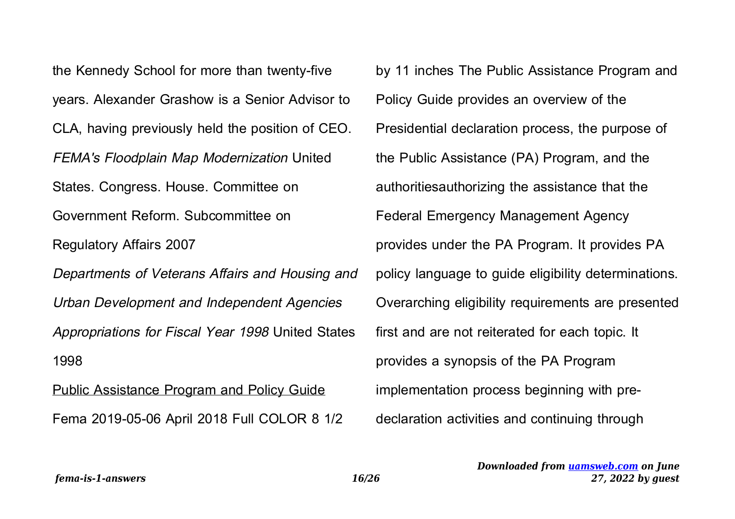the Kennedy School for more than twenty-five years. Alexander Grashow is a Senior Advisor to CLA, having previously held the position of CEO. FEMA's Floodplain Map Modernization United States. Congress. House. Committee on Government Reform. Subcommittee on Regulatory Affairs 2007 Departments of Veterans Affairs and Housing and Urban Development and Independent Agencies Appropriations for Fiscal Year 1998 United States 1998 Public Assistance Program and Policy Guide

Fema 2019-05-06 April 2018 Full COLOR 8 1/2

by 11 inches The Public Assistance Program and Policy Guide provides an overview of the Presidential declaration process, the purpose of the Public Assistance (PA) Program, and the authoritiesauthorizing the assistance that the Federal Emergency Management Agency provides under the PA Program. It provides PA policy language to guide eligibility determinations. Overarching eligibility requirements are presented first and are not reiterated for each topic. It provides a synopsis of the PA Program implementation process beginning with predeclaration activities and continuing through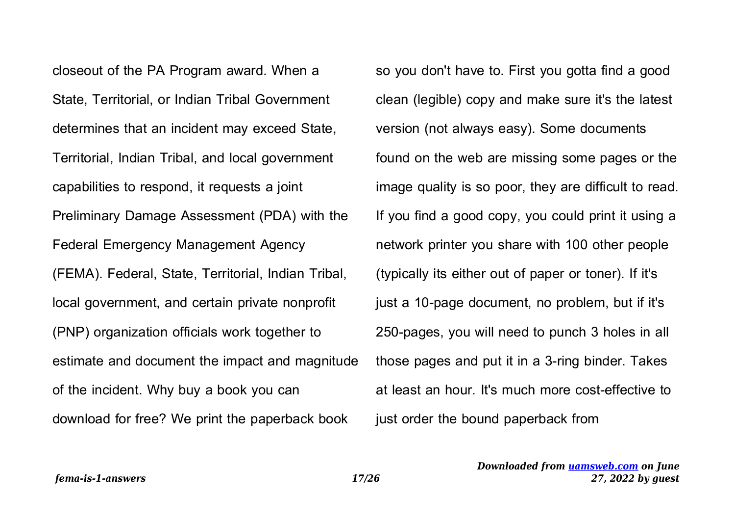closeout of the PA Program award. When a State, Territorial, or Indian Tribal Government determines that an incident may exceed State, Territorial, Indian Tribal, and local government capabilities to respond, it requests a joint Preliminary Damage Assessment (PDA) with the Federal Emergency Management Agency (FEMA). Federal, State, Territorial, Indian Tribal, local government, and certain private nonprofit (PNP) organization officials work together to estimate and document the impact and magnitude of the incident. Why buy a book you can download for free? We print the paperback book

so you don't have to. First you gotta find a good clean (legible) copy and make sure it's the latest version (not always easy). Some documents found on the web are missing some pages or the image quality is so poor, they are difficult to read. If you find a good copy, you could print it using a network printer you share with 100 other people (typically its either out of paper or toner). If it's just a 10-page document, no problem, but if it's 250-pages, you will need to punch 3 holes in all those pages and put it in a 3-ring binder. Takes at least an hour. It's much more cost-effective to just order the bound paperback from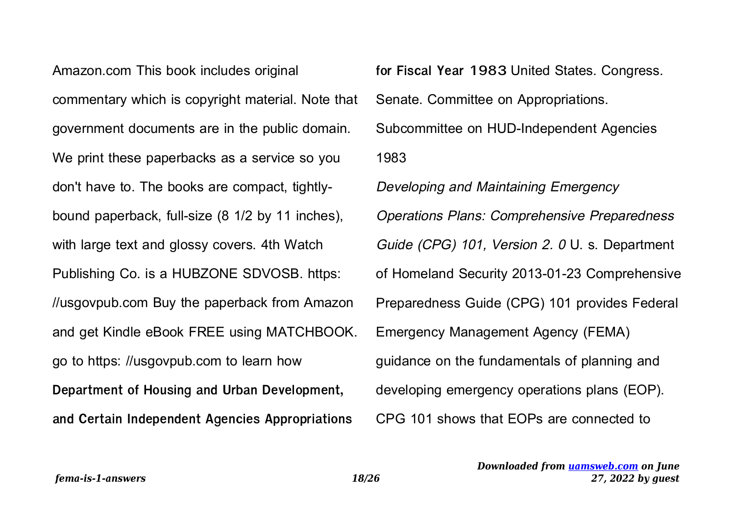Amazon.com This book includes original commentary which is copyright material. Note that government documents are in the public domain. We print these paperbacks as a service so you don't have to. The books are compact, tightlybound paperback, full-size (8 1/2 by 11 inches), with large text and glossy covers. 4th Watch Publishing Co. is a HUBZONE SDVOSB. https: //usgovpub.com Buy the paperback from Amazon and get Kindle eBook FREE using MATCHBOOK. go to https: //usgovpub.com to learn how **Department of Housing and Urban Development, and Certain Independent Agencies Appropriations**

**for Fiscal Year 1983** United States. Congress. Senate. Committee on Appropriations. Subcommittee on HUD-Independent Agencies 1983 Developing and Maintaining Emergency Operations Plans: Comprehensive Preparedness Guide (CPG) 101, Version 2. 0 U. s. Department of Homeland Security 2013-01-23 Comprehensive Preparedness Guide (CPG) 101 provides Federal Emergency Management Agency (FEMA) guidance on the fundamentals of planning and developing emergency operations plans (EOP). CPG 101 shows that EOPs are connected to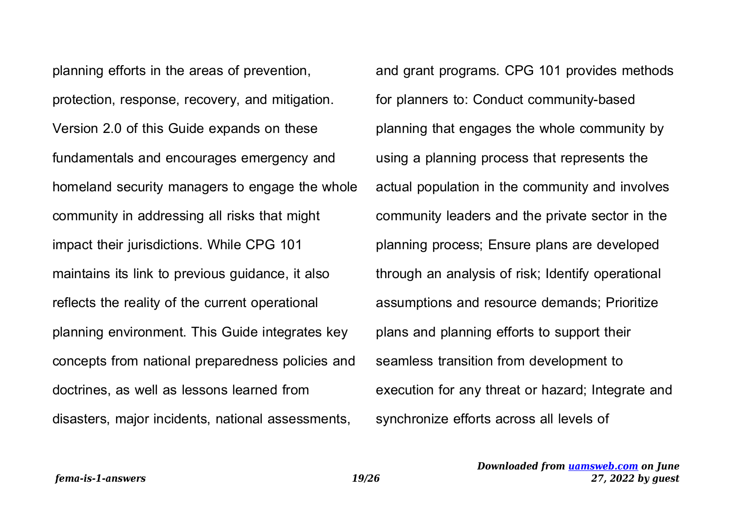planning efforts in the areas of prevention, protection, response, recovery, and mitigation. Version 2.0 of this Guide expands on these fundamentals and encourages emergency and homeland security managers to engage the whole community in addressing all risks that might impact their jurisdictions. While CPG 101 maintains its link to previous guidance, it also reflects the reality of the current operational planning environment. This Guide integrates key concepts from national preparedness policies and doctrines, as well as lessons learned from disasters, major incidents, national assessments,

and grant programs. CPG 101 provides methods for planners to: Conduct community-based planning that engages the whole community by using a planning process that represents the actual population in the community and involves community leaders and the private sector in the planning process; Ensure plans are developed through an analysis of risk; Identify operational assumptions and resource demands; Prioritize plans and planning efforts to support their seamless transition from development to execution for any threat or hazard; Integrate and synchronize efforts across all levels of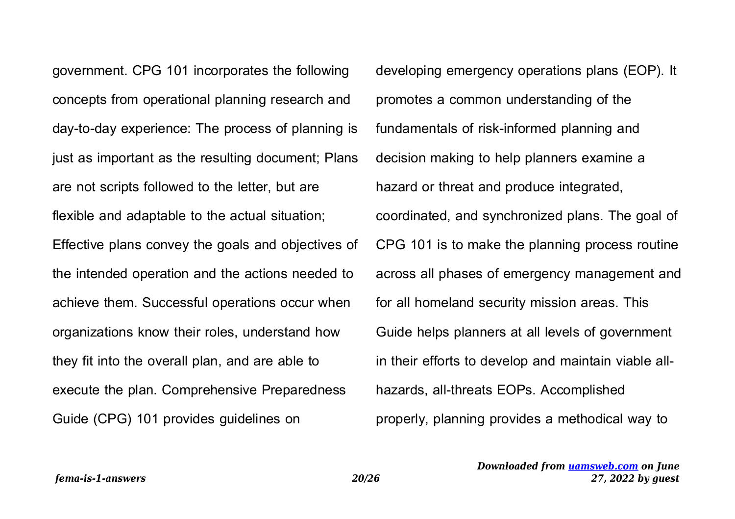government. CPG 101 incorporates the following concepts from operational planning research and day-to-day experience: The process of planning is just as important as the resulting document; Plans are not scripts followed to the letter, but are flexible and adaptable to the actual situation; Effective plans convey the goals and objectives of the intended operation and the actions needed to achieve them. Successful operations occur when organizations know their roles, understand how they fit into the overall plan, and are able to execute the plan. Comprehensive Preparedness Guide (CPG) 101 provides guidelines on

developing emergency operations plans (EOP). It promotes a common understanding of the fundamentals of risk-informed planning and decision making to help planners examine a hazard or threat and produce integrated, coordinated, and synchronized plans. The goal of CPG 101 is to make the planning process routine across all phases of emergency management and for all homeland security mission areas. This Guide helps planners at all levels of government in their efforts to develop and maintain viable allhazards, all-threats EOPs. Accomplished properly, planning provides a methodical way to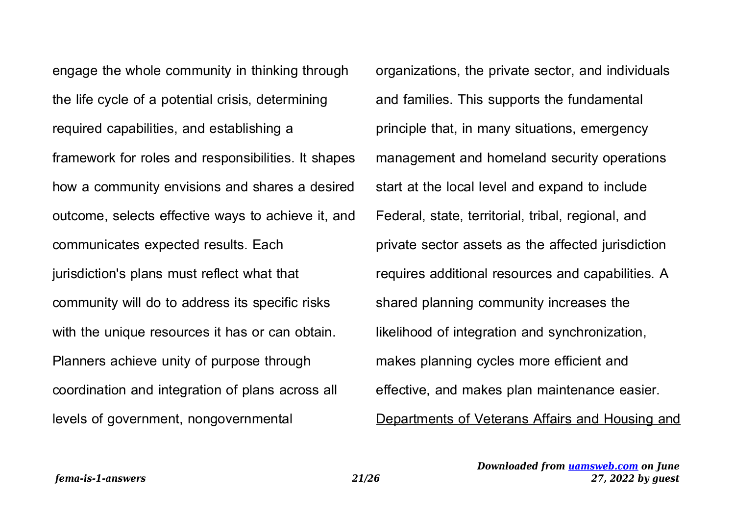engage the whole community in thinking through the life cycle of a potential crisis, determining required capabilities, and establishing a framework for roles and responsibilities. It shapes how a community envisions and shares a desired outcome, selects effective ways to achieve it, and communicates expected results. Each jurisdiction's plans must reflect what that community will do to address its specific risks with the unique resources it has or can obtain. Planners achieve unity of purpose through coordination and integration of plans across all levels of government, nongovernmental

organizations, the private sector, and individuals and families. This supports the fundamental principle that, in many situations, emergency management and homeland security operations start at the local level and expand to include Federal, state, territorial, tribal, regional, and private sector assets as the affected jurisdiction requires additional resources and capabilities. A shared planning community increases the likelihood of integration and synchronization, makes planning cycles more efficient and effective, and makes plan maintenance easier. Departments of Veterans Affairs and Housing and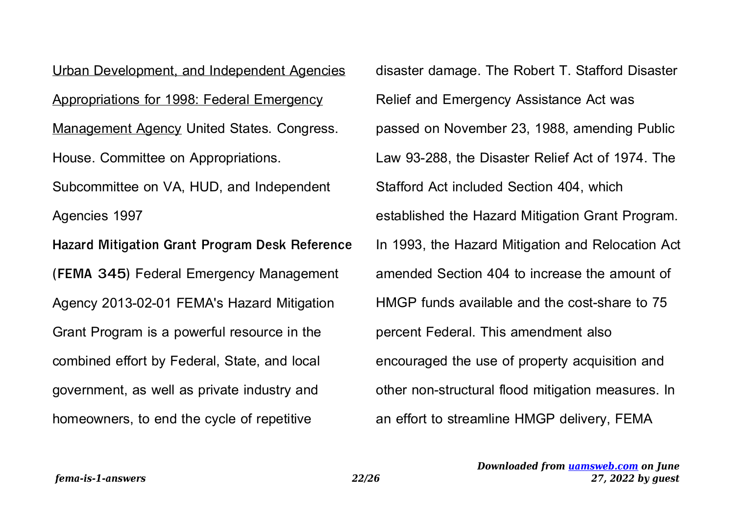Urban Development, and Independent Agencies Appropriations for 1998: Federal Emergency Management Agency United States. Congress. House. Committee on Appropriations. Subcommittee on VA, HUD, and Independent Agencies 1997 **Hazard Mitigation Grant Program Desk Reference (FEMA 345)** Federal Emergency Management Agency 2013-02-01 FEMA's Hazard Mitigation Grant Program is a powerful resource in the combined effort by Federal, State, and local government, as well as private industry and homeowners, to end the cycle of repetitive

disaster damage. The Robert T. Stafford Disaster Relief and Emergency Assistance Act was passed on November 23, 1988, amending Public Law 93-288, the Disaster Relief Act of 1974. The Stafford Act included Section 404, which established the Hazard Mitigation Grant Program. In 1993, the Hazard Mitigation and Relocation Act amended Section 404 to increase the amount of HMGP funds available and the cost-share to 75 percent Federal. This amendment also encouraged the use of property acquisition and other non-structural flood mitigation measures. In an effort to streamline HMGP delivery, FEMA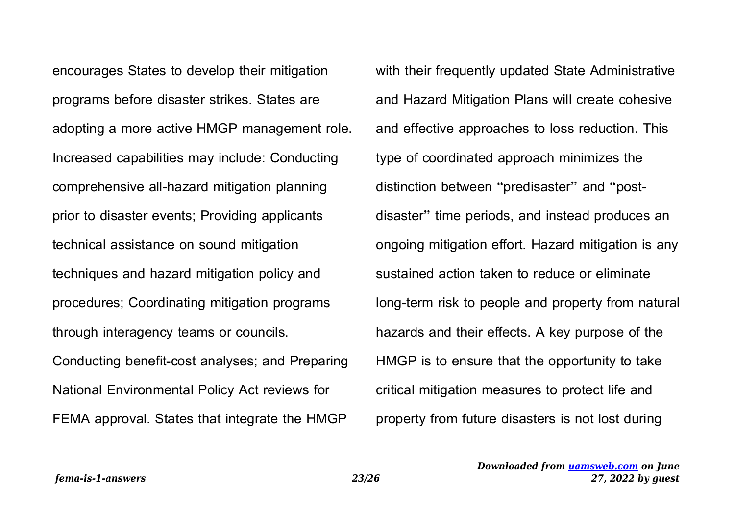encourages States to develop their mitigation programs before disaster strikes. States are adopting a more active HMGP management role. Increased capabilities may include: Conducting comprehensive all-hazard mitigation planning prior to disaster events; Providing applicants technical assistance on sound mitigation techniques and hazard mitigation policy and procedures; Coordinating mitigation programs through interagency teams or councils. Conducting benefit-cost analyses; and Preparing National Environmental Policy Act reviews for FEMA approval. States that integrate the HMGP

with their frequently updated State Administrative and Hazard Mitigation Plans will create cohesive and effective approaches to loss reduction. This type of coordinated approach minimizes the distinction between "predisaster" and "postdisaster" time periods, and instead produces an ongoing mitigation effort. Hazard mitigation is any sustained action taken to reduce or eliminate long-term risk to people and property from natural hazards and their effects. A key purpose of the HMGP is to ensure that the opportunity to take critical mitigation measures to protect life and property from future disasters is not lost during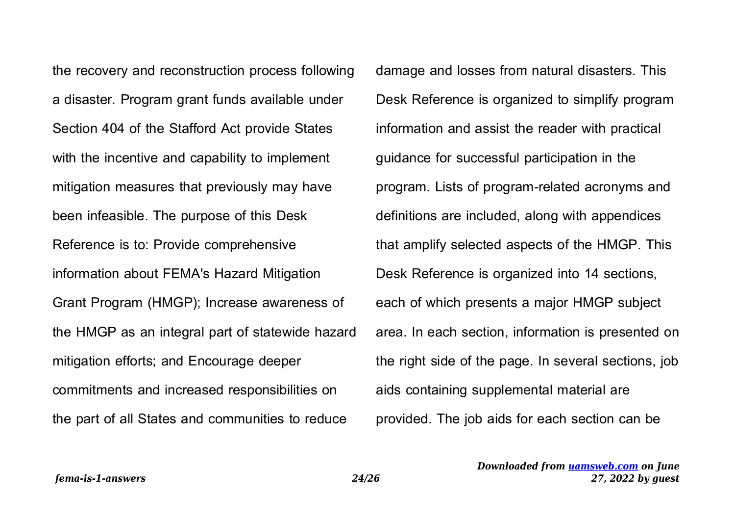the recovery and reconstruction process following a disaster. Program grant funds available under Section 404 of the Stafford Act provide States with the incentive and capability to implement mitigation measures that previously may have been infeasible. The purpose of this Desk Reference is to: Provide comprehensive information about FEMA's Hazard Mitigation Grant Program (HMGP); Increase awareness of the HMGP as an integral part of statewide hazard mitigation efforts; and Encourage deeper commitments and increased responsibilities on the part of all States and communities to reduce

damage and losses from natural disasters. This Desk Reference is organized to simplify program information and assist the reader with practical guidance for successful participation in the program. Lists of program-related acronyms and definitions are included, along with appendices that amplify selected aspects of the HMGP. This Desk Reference is organized into 14 sections, each of which presents a major HMGP subject area. In each section, information is presented on the right side of the page. In several sections, job aids containing supplemental material are provided. The job aids for each section can be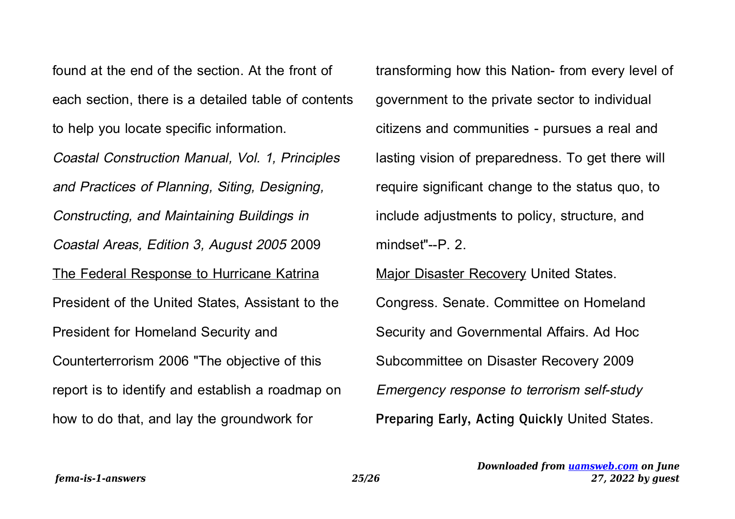found at the end of the section. At the front of each section, there is a detailed table of contents to help you locate specific information.

Coastal Construction Manual, Vol. 1, Principles and Practices of Planning, Siting, Designing, Constructing, and Maintaining Buildings in Coastal Areas, Edition 3, August 2005 2009 The Federal Response to Hurricane Katrina President of the United States, Assistant to the President for Homeland Security and Counterterrorism 2006 "The objective of this report is to identify and establish a roadmap on how to do that, and lay the groundwork for

transforming how this Nation- from every level of government to the private sector to individual citizens and communities - pursues a real and lasting vision of preparedness. To get there will require significant change to the status quo, to include adjustments to policy, structure, and mindset"--P. 2.

Major Disaster Recovery United States. Congress. Senate. Committee on Homeland Security and Governmental Affairs. Ad Hoc Subcommittee on Disaster Recovery 2009 Emergency response to terrorism self-study **Preparing Early, Acting Quickly** United States.